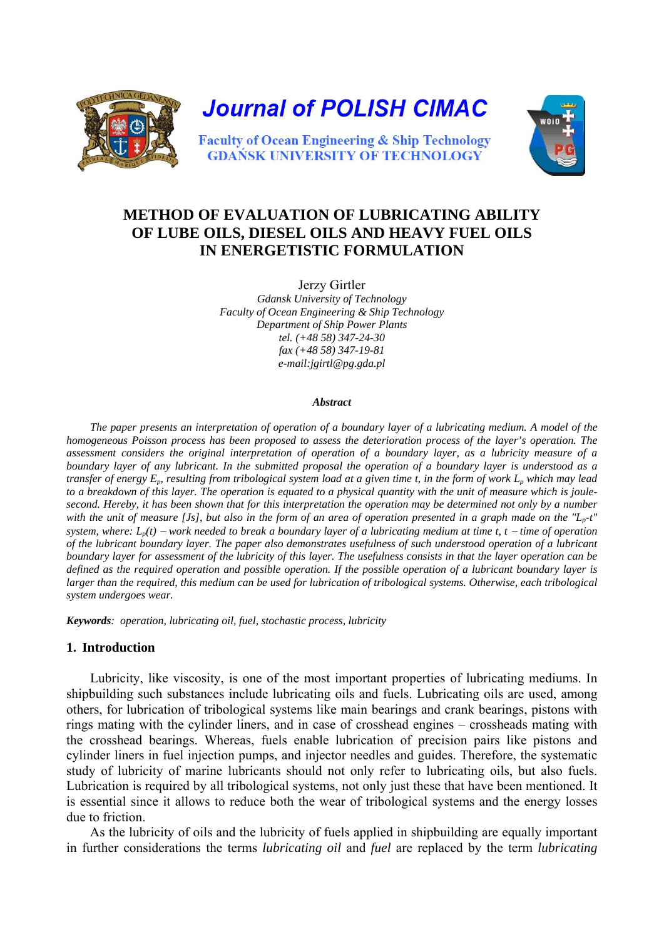



# **METHOD OF EVALUATION OF LUBRICATING ABILITY OF LUBE OILS, DIESEL OILS AND HEAVY FUEL OILS IN ENERGETISTIC FORMULATION**

Jerzy Girtler *Gdansk University of Technology Faculty of Ocean Engineering & Ship Technology Department of Ship Power Plants tel. (+48 58) 347-24-30 fax (+48 58) 347-19-81 e-mail:jgirtl@pg.gda.pl*

#### *Abstract*

*The paper presents an interpretation of operation of a boundary layer of a lubricating medium. A model of the homogeneous Poisson process has been proposed to assess the deterioration process of the layer's operation. The assessment considers the original interpretation of operation of a boundary layer, as a lubricity measure of a boundary layer of any lubricant. In the submitted proposal the operation of a boundary layer is understood as a transfer of energy E<sub>p</sub>, resulting from tribological system load at a given time t, in the form of work L<sub>p</sub> which may lead to a breakdown of this layer. The operation is equated to a physical quantity with the unit of measure which is joulesecond. Hereby, it has been shown that for this interpretation the operation may be determined not only by a number*  with the unit of measure [Js], but also in the form of an area of operation presented in a graph made on the "L<sub>p</sub>-t" *system, where: L<sub>p</sub>(t) − work needed to break a boundary layer of a lubricating medium at time t, t − time of operation of the lubricant boundary layer. The paper also demonstrates usefulness of such understood operation of a lubricant boundary layer for assessment of the lubricity of this layer. The usefulness consists in that the layer operation can be defined as the required operation and possible operation. If the possible operation of a lubricant boundary layer is*  larger than the required, this medium can be used for lubrication of tribological systems. Otherwise, each tribological *system undergoes wear.* 

*Keywords: operation, lubricating oil, fuel, stochastic process, lubricity* 

#### **1. Introduction**

Lubricity, like viscosity, is one of the most important properties of lubricating mediums. In shipbuilding such substances include lubricating oils and fuels. Lubricating oils are used, among others, for lubrication of tribological systems like main bearings and crank bearings, pistons with rings mating with the cylinder liners, and in case of crosshead engines – crossheads mating with the crosshead bearings. Whereas, fuels enable lubrication of precision pairs like pistons and cylinder liners in fuel injection pumps, and injector needles and guides. Therefore, the systematic study of lubricity of marine lubricants should not only refer to lubricating oils, but also fuels. Lubrication is required by all tribological systems, not only just these that have been mentioned. It is essential since it allows to reduce both the wear of tribological systems and the energy losses due to friction.

As the lubricity of oils and the lubricity of fuels applied in shipbuilding are equally important in further considerations the terms *lubricating oil* and *fuel* are replaced by the term *lubricating*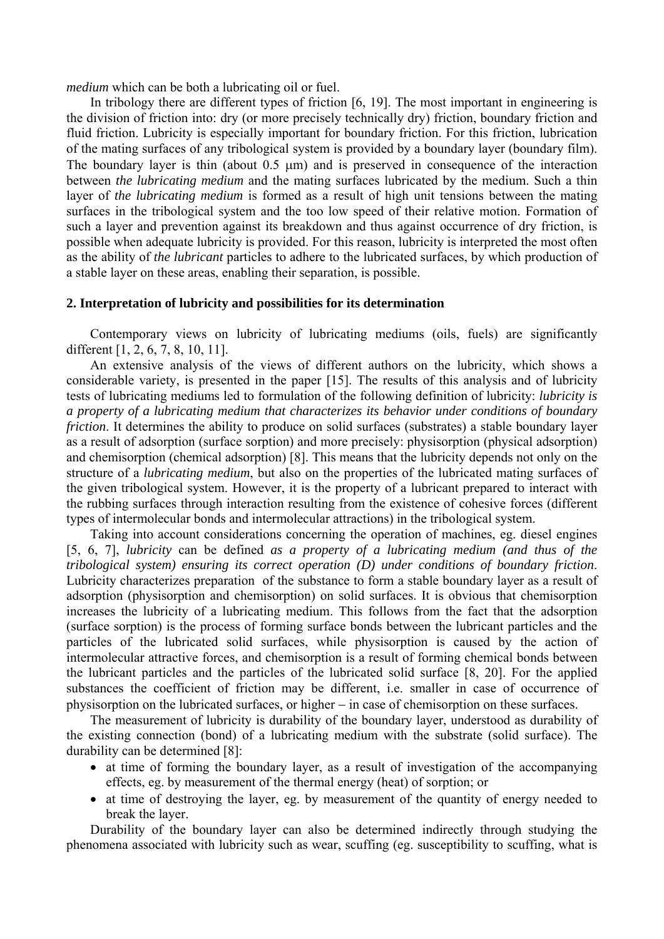*medium* which can be both a lubricating oil or fuel.

In tribology there are different types of friction [6, 19]. The most important in engineering is the division of friction into: dry (or more precisely technically dry) friction, boundary friction and fluid friction. Lubricity is especially important for boundary friction. For this friction, lubrication of the mating surfaces of any tribological system is provided by a boundary layer (boundary film). The boundary layer is thin (about 0.5 μm) and is preserved in consequence of the interaction between *the lubricating medium* and the mating surfaces lubricated by the medium. Such a thin layer of *the lubricating medium* is formed as a result of high unit tensions between the mating surfaces in the tribological system and the too low speed of their relative motion. Formation of such a layer and prevention against its breakdown and thus against occurrence of dry friction, is possible when adequate lubricity is provided. For this reason, lubricity is interpreted the most often as the ability of *the lubricant* particles to adhere to the lubricated surfaces, by which production of a stable layer on these areas, enabling their separation, is possible.

#### **2. Interpretation of lubricity and possibilities for its determination**

Contemporary views on lubricity of lubricating mediums (oils, fuels) are significantly different [1, 2, 6, 7, 8, 10, 11].

An extensive analysis of the views of different authors on the lubricity, which shows a considerable variety, is presented in the paper [15]. The results of this analysis and of lubricity tests of lubricating mediums led to formulation of the following definition of lubricity: *lubricity is a property of a lubricating medium that characterizes its behavior under conditions of boundary friction*. It determines the ability to produce on solid surfaces (substrates) a stable boundary layer as a result of adsorption (surface sorption) and more precisely: physisorption (physical adsorption) and chemisorption (chemical adsorption) [8]. This means that the lubricity depends not only on the structure of a *lubricating medium*, but also on the properties of the lubricated mating surfaces of the given tribological system. However, it is the property of a lubricant prepared to interact with the rubbing surfaces through interaction resulting from the existence of cohesive forces (different types of intermolecular bonds and intermolecular attractions) in the tribological system.

Taking into account considerations concerning the operation of machines, eg. diesel engines [5, 6, 7], *lubricity* can be defined *as a property of a lubricating medium (and thus of the tribological system) ensuring its correct operation (D) under conditions of boundary friction*. Lubricity characterizes preparation of the substance to form a stable boundary layer as a result of adsorption (physisorption and chemisorption) on solid surfaces. It is obvious that chemisorption increases the lubricity of a lubricating medium. This follows from the fact that the adsorption (surface sorption) is the process of forming surface bonds between the lubricant particles and the particles of the lubricated solid surfaces, while physisorption is caused by the action of intermolecular attractive forces, and chemisorption is a result of forming chemical bonds between the lubricant particles and the particles of the lubricated solid surface [8, 20]. For the applied substances the coefficient of friction may be different, i.e. smaller in case of occurrence of physisorption on the lubricated surfaces, or higher − in case of chemisorption on these surfaces.

The measurement of lubricity is durability of the boundary layer, understood as durability of the existing connection (bond) of a lubricating medium with the substrate (solid surface). The durability can be determined [8]:

- at time of forming the boundary layer, as a result of investigation of the accompanying effects, eg. by measurement of the thermal energy (heat) of sorption; or
- at time of destroying the layer, eg. by measurement of the quantity of energy needed to break the layer.

Durability of the boundary layer can also be determined indirectly through studying the phenomena associated with lubricity such as wear, scuffing (eg. susceptibility to scuffing, what is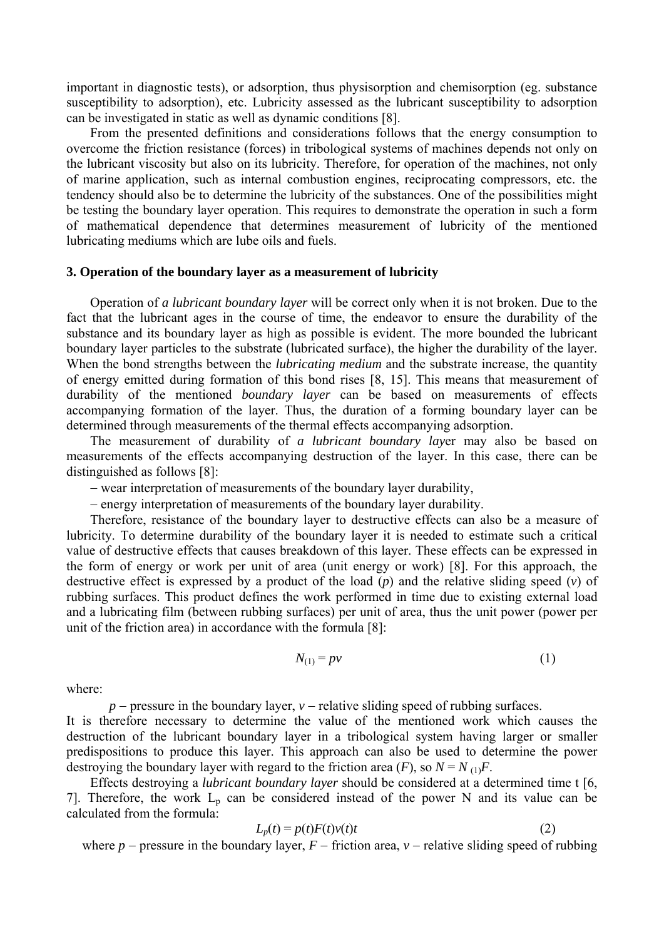important in diagnostic tests), or adsorption, thus physisorption and chemisorption (eg. substance susceptibility to adsorption), etc. Lubricity assessed as the lubricant susceptibility to adsorption can be investigated in static as well as dynamic conditions [8].

From the presented definitions and considerations follows that the energy consumption to overcome the friction resistance (forces) in tribological systems of machines depends not only on the lubricant viscosity but also on its lubricity. Therefore, for operation of the machines, not only of marine application, such as internal combustion engines, reciprocating compressors, etc. the tendency should also be to determine the lubricity of the substances. One of the possibilities might be testing the boundary layer operation. This requires to demonstrate the operation in such a form of mathematical dependence that determines measurement of lubricity of the mentioned lubricating mediums which are lube oils and fuels.

#### **3. Operation of the boundary layer as a measurement of lubricity**

Operation of *a lubricant boundary layer* will be correct only when it is not broken. Due to the fact that the lubricant ages in the course of time, the endeavor to ensure the durability of the substance and its boundary layer as high as possible is evident. The more bounded the lubricant boundary layer particles to the substrate (lubricated surface), the higher the durability of the layer. When the bond strengths between the *lubricating medium* and the substrate increase, the quantity of energy emitted during formation of this bond rises [8, 15]. This means that measurement of durability of the mentioned *boundary layer* can be based on measurements of effects accompanying formation of the layer. Thus, the duration of a forming boundary layer can be determined through measurements of the thermal effects accompanying adsorption.

The measurement of durability of *a lubricant boundary lay*er may also be based on measurements of the effects accompanying destruction of the layer. In this case, there can be distinguished as follows [8]:

− wear interpretation of measurements of the boundary layer durability,

− energy interpretation of measurements of the boundary layer durability.

Therefore, resistance of the boundary layer to destructive effects can also be a measure of lubricity. To determine durability of the boundary layer it is needed to estimate such a critical value of destructive effects that causes breakdown of this layer. These effects can be expressed in the form of energy or work per unit of area (unit energy or work) [8]. For this approach, the destructive effect is expressed by a product of the load (*p*) and the relative sliding speed (*v*) of rubbing surfaces. This product defines the work performed in time due to existing external load and a lubricating film (between rubbing surfaces) per unit of area, thus the unit power (power per unit of the friction area) in accordance with the formula [8]:

$$
N_{(1)} = pv \tag{1}
$$

where:

*p* − pressure in the boundary layer, *v* − relative sliding speed of rubbing surfaces.

It is therefore necessary to determine the value of the mentioned work which causes the destruction of the lubricant boundary layer in a tribological system having larger or smaller predispositions to produce this layer. This approach can also be used to determine the power destroying the boundary layer with regard to the friction area  $(F)$ , so  $N = N_{(1)}F$ .

Effects destroying a *lubricant boundary layer* should be considered at a determined time t [6, 7]. Therefore, the work  $L<sub>p</sub>$  can be considered instead of the power N and its value can be calculated from the formula:

$$
L_p(t) = p(t)F(t)v(t)t
$$
\n(2)

where  $p$  − pressure in the boundary layer,  $F$  − friction area,  $v$  − relative sliding speed of rubbing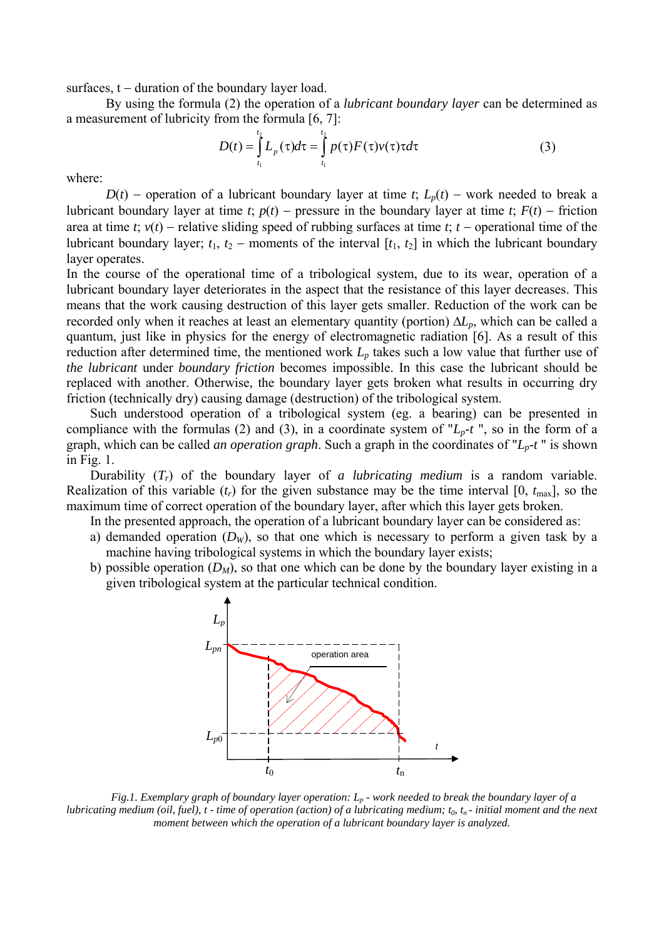surfaces, t – duration of the boundary layer load.

 By using the formula (2) the operation of a *lubricant boundary layer* can be determined as a measurement of lubricity from the formula [6, 7]:

$$
D(t) = \int_{t_1}^{t_2} L_p(\tau) d\tau = \int_{t_1}^{t_2} p(\tau) F(\tau) \nu(\tau) \tau d\tau
$$
 (3)

where:

*D*(*t*) – operation of a lubricant boundary layer at time *t*;  $L_p(t)$  – work needed to break a lubricant boundary layer at time *t*;  $p(t)$  – pressure in the boundary layer at time *t*;  $F(t)$  – friction area at time *t*; *v*(*t*) − relative sliding speed of rubbing surfaces at time *t*; *t* − operational time of the lubricant boundary layer;  $t_1$ ,  $t_2$  – moments of the interval  $[t_1, t_2]$  in which the lubricant boundary layer operates.

In the course of the operational time of a tribological system, due to its wear, operation of a lubricant boundary layer deteriorates in the aspect that the resistance of this layer decreases. This means that the work causing destruction of this layer gets smaller. Reduction of the work can be recorded only when it reaches at least an elementary quantity (portion) Δ*Lp*, which can be called a quantum, just like in physics for the energy of electromagnetic radiation [6]. As a result of this reduction after determined time, the mentioned work  $L<sub>p</sub>$  takes such a low value that further use of *the lubricant* under *boundary friction* becomes impossible. In this case the lubricant should be replaced with another. Otherwise, the boundary layer gets broken what results in occurring dry friction (technically dry) causing damage (destruction) of the tribological system.

Such understood operation of a tribological system (eg. a bearing) can be presented in compliance with the formulas (2) and (3), in a coordinate system of " $L_p-t$ ", so in the form of a graph, which can be called *an operation graph*. Such a graph in the coordinates of "*Lp-t* " is shown in Fig. 1.

Durability (*Tr*) of the boundary layer of *a lubricating medium* is a random variable. Realization of this variable  $(t_r)$  for the given substance may be the time interval [0,  $t_{\text{max}}$ ], so the maximum time of correct operation of the boundary layer, after which this layer gets broken.

- In the presented approach, the operation of a lubricant boundary layer can be considered as:
- a) demanded operation  $(D_W)$ , so that one which is necessary to perform a given task by a machine having tribological systems in which the boundary layer exists;
- b) possible operation  $(D_M)$ , so that one which can be done by the boundary layer existing in a given tribological system at the particular technical condition.



*Fig.1. Exemplary graph of boundary layer operation: Lp - work needed to break the boundary layer of a lubricating medium (oil, fuel), t - time of operation (action) of a lubricating medium;*  $t_0$ *,*  $t_n$ *- initial moment and the next moment between which the operation of a lubricant boundary layer is analyzed.*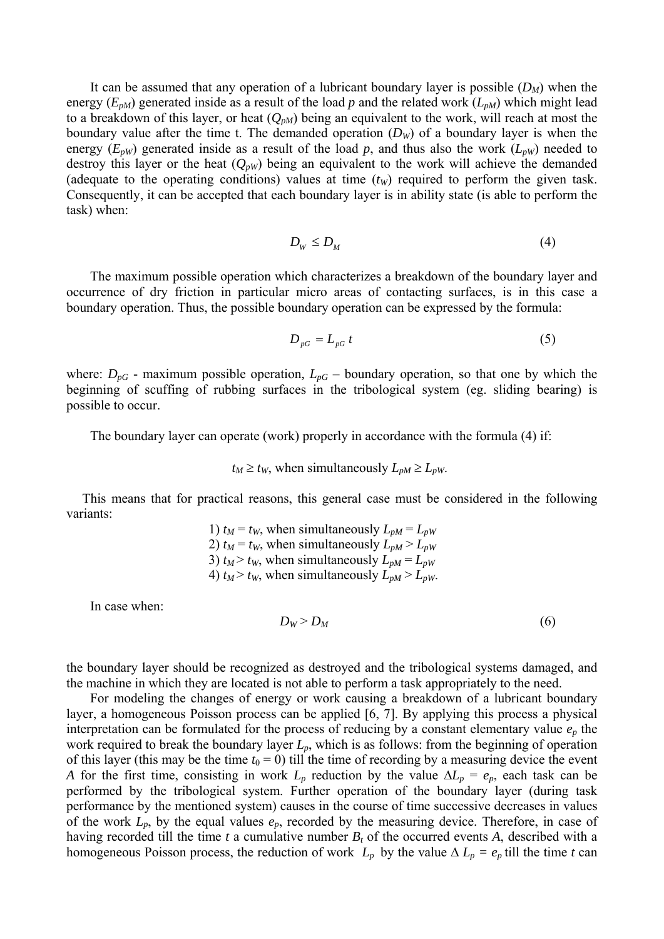It can be assumed that any operation of a lubricant boundary layer is possible  $(D_M)$  when the energy  $(E_{pM})$  generated inside as a result of the load p and the related work  $(L_{pM})$  which might lead to a breakdown of this layer, or heat  $(Q_{pM})$  being an equivalent to the work, will reach at most the boundary value after the time t. The demanded operation  $(D<sub>W</sub>)$  of a boundary layer is when the energy  $(E_{pW})$  generated inside as a result of the load p, and thus also the work  $(L_{pW})$  needed to destroy this layer or the heat  $(Q_{\nu W})$  being an equivalent to the work will achieve the demanded (adequate to the operating conditions) values at time  $(t<sub>W</sub>)$  required to perform the given task. Consequently, it can be accepted that each boundary layer is in ability state (is able to perform the task) when:

$$
D_{\scriptscriptstyle W} \le D_{\scriptscriptstyle M} \tag{4}
$$

The maximum possible operation which characterizes a breakdown of the boundary layer and occurrence of dry friction in particular micro areas of contacting surfaces, is in this case a boundary operation. Thus, the possible boundary operation can be expressed by the formula:

$$
D_{pG} = L_{pG} t \tag{5}
$$

where:  $D_{pG}$  - maximum possible operation,  $L_{pG}$  – boundary operation, so that one by which the beginning of scuffing of rubbing surfaces in the tribological system (eg. sliding bearing) is possible to occur.

The boundary layer can operate (work) properly in accordance with the formula (4) if:

 $t_M \geq t_W$ , when simultaneously  $L_{pM} \geq L_{pW}$ .

This means that for practical reasons, this general case must be considered in the following variants:

> 1)  $t_M = t_W$ , when simultaneously  $L_{pM} = L_{pW}$ 2)  $t_M = t_W$ , when simultaneously  $L_{pM} > L_{pW}$ 3)  $t_M > t_W$ , when simultaneously  $L_{pM} = L_{pW}$ 4)  $t_M > t_W$ , when simultaneously  $L_{pM} > L_{pW}$ .

In case when:

$$
D_W > D_M \tag{6}
$$

the boundary layer should be recognized as destroyed and the tribological systems damaged, and the machine in which they are located is not able to perform a task appropriately to the need.

For modeling the changes of energy or work causing a breakdown of a lubricant boundary layer, a homogeneous Poisson process can be applied [6, 7]. By applying this process a physical interpretation can be formulated for the process of reducing by a constant elementary value  $e_p$  the work required to break the boundary layer *Lp*, which is as follows: from the beginning of operation of this layer (this may be the time  $t_0 = 0$ ) till the time of recording by a measuring device the event *A* for the first time, consisting in work  $L_p$  reduction by the value  $\Delta L_p = e_p$ , each task can be performed by the tribological system. Further operation of the boundary layer (during task performance by the mentioned system) causes in the course of time successive decreases in values of the work *Lp*, by the equal values *ep*, recorded by the measuring device. Therefore, in case of having recorded till the time  $t$  a cumulative number  $B_t$  of the occurred events  $A$ , described with a homogeneous Poisson process, the reduction of work  $L_p$  by the value  $\Delta L_p = e_p$  till the time *t* can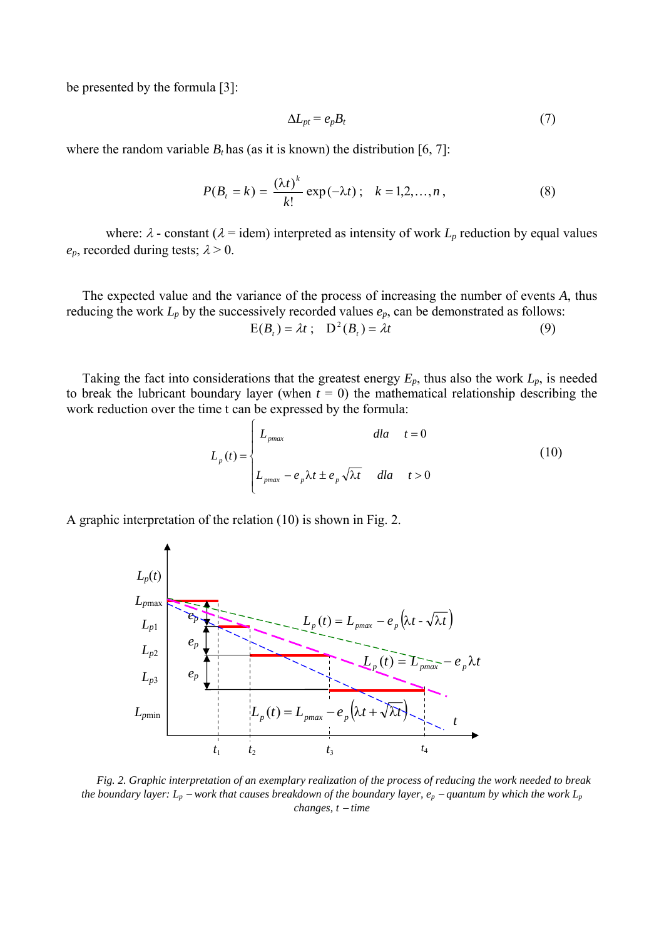be presented by the formula [3]:

$$
\Delta L_{pt} = e_p B_t \tag{7}
$$

where the random variable  $B_t$  has (as it is known) the distribution [6, 7]:

$$
P(B_t = k) = \frac{(\lambda t)^k}{k!} \exp(-\lambda t) \, ; \quad k = 1, 2, ..., n \,, \tag{8}
$$

where:  $\lambda$  - constant ( $\lambda$  = idem) interpreted as intensity of work  $L_p$  reduction by equal values  $e_p$ , recorded during tests;  $\lambda > 0$ .

The expected value and the variance of the process of increasing the number of events *A*, thus reducing the work  $L_p$  by the successively recorded values  $e_p$ , can be demonstrated as follows:  $E(B_t) = \lambda t$ ;  $D^2(B_t) = \lambda t$  (9)

Taking the fact into considerations that the greatest energy  $E_p$ , thus also the work  $L_p$ , is needed to break the lubricant boundary layer (when  $t = 0$ ) the mathematical relationship describing the work reduction over the time t can be expressed by the formula:

$$
L_p(t) = \begin{cases} L_{pmax} & \text{dla} \quad t = 0\\ L_{pmax} - e_p \lambda t \pm e_p \sqrt{\lambda t} & \text{dla} \quad t > 0 \end{cases}
$$
 (10)

A graphic interpretation of the relation (10) is shown in Fig. 2.



*Fig. 2. Graphic interpretation of an exemplary realization of the process of reducing the work needed to break the boundary layer:*  $L_p$  −*work that causes breakdown of the boundary layer, e<sub>p</sub> − quantum by which the work*  $L_p$ *changes, t* − *time*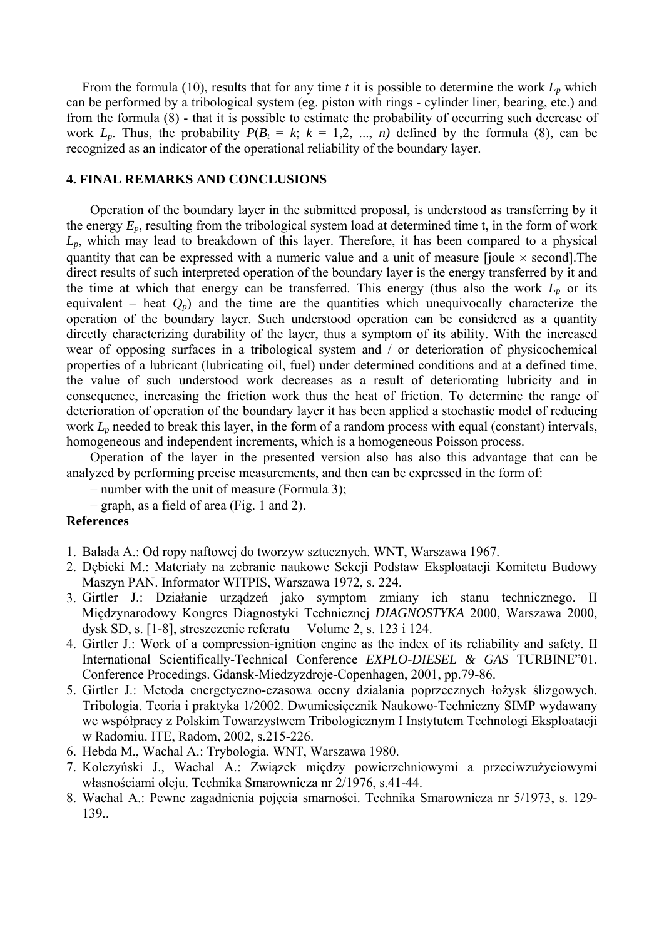From the formula (10), results that for any time  $t$  it is possible to determine the work  $L_p$  which can be performed by a tribological system (eg. piston with rings - cylinder liner, bearing, etc.) and from the formula (8) - that it is possible to estimate the probability of occurring such decrease of work  $L_p$ . Thus, the probability  $P(B_t = k; k = 1, 2, ..., n)$  defined by the formula (8), can be recognized as an indicator of the operational reliability of the boundary layer.

### **4. FINAL REMARKS AND CONCLUSIONS**

Operation of the boundary layer in the submitted proposal, is understood as transferring by it the energy *Ep*, resulting from the tribological system load at determined time t, in the form of work *Lp*, which may lead to breakdown of this layer. Therefore, it has been compared to a physical quantity that can be expressed with a numeric value and a unit of measure [joule  $\times$  second]. The direct results of such interpreted operation of the boundary layer is the energy transferred by it and the time at which that energy can be transferred. This energy (thus also the work  $L_p$  or its equivalent – heat  $Q_p$ ) and the time are the quantities which unequivocally characterize the operation of the boundary layer. Such understood operation can be considered as a quantity directly characterizing durability of the layer, thus a symptom of its ability. With the increased wear of opposing surfaces in a tribological system and / or deterioration of physicochemical properties of a lubricant (lubricating oil, fuel) under determined conditions and at a defined time, the value of such understood work decreases as a result of deteriorating lubricity and in consequence, increasing the friction work thus the heat of friction. To determine the range of deterioration of operation of the boundary layer it has been applied a stochastic model of reducing work  $L_p$  needed to break this layer, in the form of a random process with equal (constant) intervals, homogeneous and independent increments, which is a homogeneous Poisson process.

Operation of the layer in the presented version also has also this advantage that can be analyzed by performing precise measurements, and then can be expressed in the form of:

− number with the unit of measure (Formula 3);

− graph, as a field of area (Fig. 1 and 2).

## **References**

- 1. Balada A.: Od ropy naftowej do tworzyw sztucznych. WNT, Warszawa 1967.
- 2. Dębicki M.: Materiały na zebranie naukowe Sekcji Podstaw Eksploatacji Komitetu Budowy Maszyn PAN. Informator WITPIS, Warszawa 1972, s. 224.
- 3. Girtler J.: Działanie urządzeń jako symptom zmiany ich stanu technicznego. II Międzynarodowy Kongres Diagnostyki Technicznej *DIAGNOSTYKA* 2000, Warszawa 2000, dysk SD, s. [1-8], streszczenie referatu Volume 2, s. 123 i 124.
- 4. Girtler J.: Work of a compression-ignition engine as the index of its reliability and safety. II International Scientifically-Technical Conference *EXPLO-DIESEL & GAS* TURBINE"01. Conference Procedings. Gdansk-Miedzyzdroje-Copenhagen, 2001, pp.79-86.
- 5. Girtler J.: Metoda energetyczno-czasowa oceny działania poprzecznych łożysk ślizgowych. Tribologia. Teoria i praktyka 1/2002. Dwumiesięcznik Naukowo-Techniczny SIMP wydawany we współpracy z Polskim Towarzystwem Tribologicznym I Instytutem Technologi Eksploatacji w Radomiu. ITE, Radom, 2002, s.215-226.
- 6. Hebda M., Wachal A.: Trybologia. WNT, Warszawa 1980.
- 7. Kolczyński J., Wachal A.: Związek między powierzchniowymi a przeciwzużyciowymi własnościami oleju. Technika Smarownicza nr 2/1976, s.41-44.
- 8. Wachal A.: Pewne zagadnienia pojęcia smarności. Technika Smarownicza nr 5/1973, s. 129- 139..